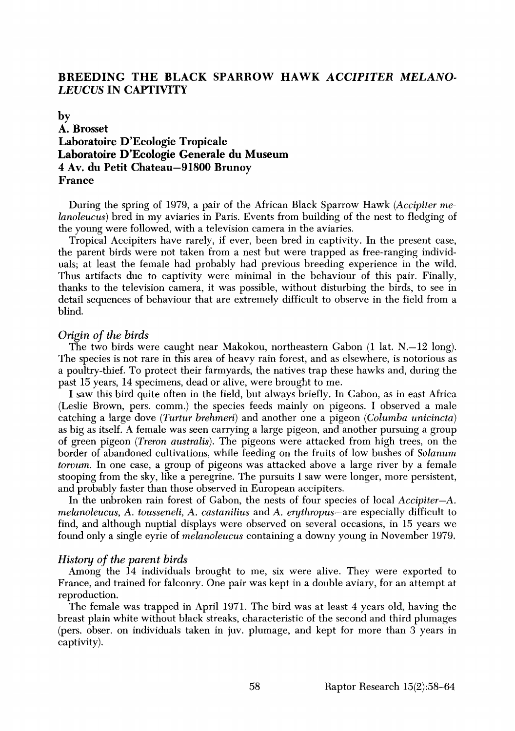# **BREEDING THE BLACK SPARROW HAWK ACCIPITER MELANO-LEUCUS IN CAPTIVITY**

# **by A. Brosset Laboratoire D'Ecologie Tropicale Laboratoire D'Ecologie Generale du Museum 4 Av. du Petit Chateau-91S00 Brunoy France**

**During the spring of 1979, a pair of the African Black Sparrow Hawk (Accipiter me***lanoleucus*) bred in my aviaries in Paris. Events from building of the nest to fledging of **the young were followed, with a television camera in the aviaries.** 

**Tropical Accipiters have rarely, if ever, been bred in captivity. In the present case, the parent birds were not taken from a nest but were trapped as free-ranging individuals; at least the female had probably had previous breeding experience in the wild. Thus artifacts due to captivity were minimal in the behaviour of this pair. Finally, thanks to the television camera, it was possible, without disturbing the birds, to see in**  detail sequences of behaviour that are extremely difficult to observe in the field from a **blind.** 

#### **Origin of the birds**

**The two birds were caught near Makokou, northeastern Gabon (1 lat. N.--12 long). The species is not rare in this area of heavy rain forest, and as elsewhere, is notorious as a poultry-thief. To protect their farmyards, the natives trap these hawks and, during the past 15 years, 14 specimens, dead or alive, were brought to me.** 

**I saw this bird quite often in the field, but always briefly. In Gabon, as in east Africa**  (Leslie Brown, pers. comm.) the species feeds mainly on pigeons. I observed a male **catching a large dove (Turtur brehmeri) and another one a pigeon (Columba unicincta) as big as itself. A female was seen carrying a large pigeon, and another pursuing a group of green pigeon (Treron australis). The pigeons were attacked from high trees, on the border of abandoned cultivations, while feeding on the fruits of low bushes of Solanum torvum. In one case, a group of pigeons was attacked above a large river by a female stooping from the sky, like a peregrine. The pursuits I saw were longer, more persistent, and probably faster than those observed in European accipiters.** 

**In the unbroken rain forest of Gabon, the nests of four species of local Accipiter-A. melanoleucus, A.tousseneli, A. castanilius and A. erythropus-are especially difficult to find, and although nuptial displays were observed on several occasions, in 15 years we found only a single eyrie of melanoleucus containing a downy young in November 1979.** 

#### **History of the parent birds**

**Among the 14 individuals brought to me, six were alive. They were exported to France, and trained for falconry. One pair was kept in a double aviary, for an attempt at reproduction.** 

**The female was trapped in April 1971. The bird was at least 4 years old, having the breast plain white without black streaks, characteristic of the second and third plumages (pers. obser. on individuals taken in juv. plumage, and kept for more than 3 years in captivity).**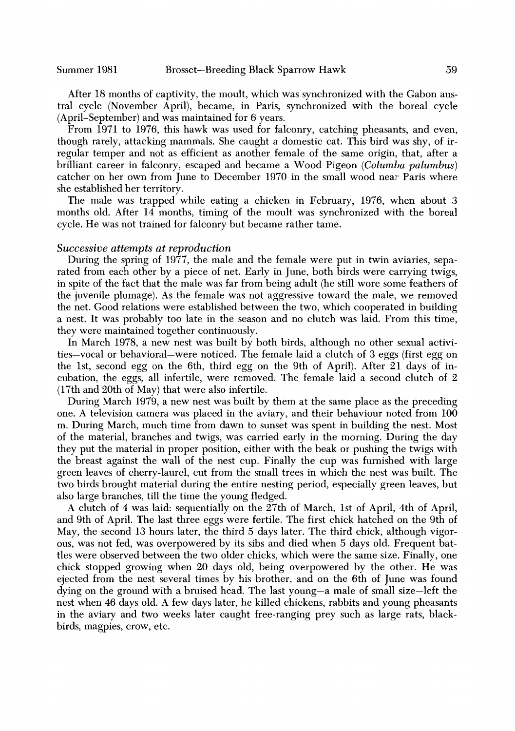**After 18 months of captivity, the moult, which was synchronized with the Gabon austral cycle (November-April), became, in Paris, synchronized with the boreal cycle (April-September) and was maintained for 6 years.** 

**From 1971 to 1976, this hawk was used for falconry, catching pheasants, and even, though rarely, attacking mammals. She caught a domestic cat. This bird was shy, of irregular temper and not as efficient as another female of the same origin, that, after a brilliant career in falconry, escaped and became a Wood Pigeon (Columba palumbus)**  catcher on her own from June to December 1970 in the small wood near Paris where **she established her territory.** 

**The male was trapped while eating a chicken in February, 1976, when about 3 months old. After 14 months, timing of the moult was synchronized with the boreal cycle. He was not trained for falconry but became rather tame.** 

## **Successive attempts at reproduction**

**During the spring of 1977, the male and the female were put in twin aviaries, separated from each other by a piece of net. Early in June, both birds were carrying twigs, in spite of the fact that the male was far from being adult (he still wore some feathers of the juvenile plumage). As the female was not aggressive toward the male, we removed the net. Good relations were established between the two, which cooperated in building a nest. It was probably too late in the season and no clutch was laid. From this time, they were maintained together continuously.** 

**In March 1978, a new nest was built by both birds, although no other sexual activities-vocal or behavioral-were noticed. The female laid a clutch of 3 eggs (first egg on the 1st, second egg on the 6th, third egg on the 9th of April). After 21 days of incubation, the eggs, all infertile, were removed. The female laid a second clutch of 2 (17th and 20th of May) that were also infertile.** 

**During March 1979, a new nest was built by them at the same place as the preceding one. A television camera was placed in the aviary, and their behaviour noted from 100 m. During March, much time from dawn to sunset was spent in building the nest. Most of the material, branches and twigs, was carried early in the morning. During the day they put the material in proper position, either with the beak or pushing the twigs with the breast against the wall of the nest cup. Finally the cup was furnished with large green leaves of cherry-laurel, cut from the small trees in which the nest was built. The two birds brought material during the entire nesting period, especially green leaves, but also large branches, till the time the young fledged.** 

**A clutch of 4 was laid: sequentially on the 27th of March, 1st of April, 4th of April, and 9th of April. The last three eggs were fertile. The first chick hatched on the 9th of May, the second 13 hours later, the third 5 days later. The third chick, although vigorous, was not fed, was overpowered by its sibs and died when 5 days old. Frequent battles were observed between the two older chicks, which were the same size. Finally, one chick stopped growing when 20 days old, being overpowered by the other. He was ejected from the nest several times by his brother, and on the 6th of June was found**  dying on the ground with a bruised head. The last young-a male of small size-left the **nest when 46 days old. A few days later, he killed chickens, rabbits and young pheasants in the aviary and two weeks later caught free-ranging prey such as large rats, blackbirds, magpies, crow, etc.**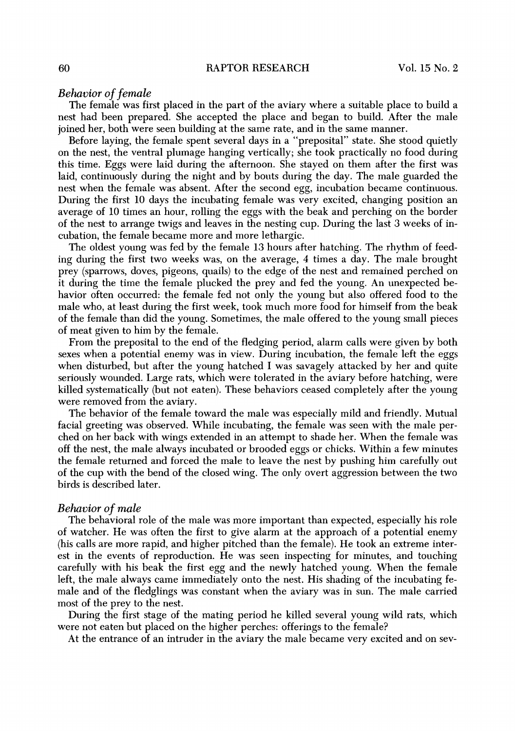#### **Behavior of female**

**The female was first placed in the part of the aviary where a suitable place to build a nest had been prepared. She accepted the place and began to build. After the male ioined her, both were seen building at the same rate, and in the same manner.** 

**Before laying, the female spent several days in a "preposital" state. She stood quietly on the nest, the ventral plumage hanging vertically; she took practically no food during this time. Eggs were laid during the afternoon. She stayed on them after the first was laid, continuously during the night and by bouts during the day. The male guarded the nest when the female was absent. After the second egg, incubation became continuous. During the first 10 days the incubating female was very excited, changing position an average of 10 times an hour, rolling the eggs with the beak and perching on the border of the nest to arrange twigs and leaves in the nesting cup. During the last 3 weeks of incubation, the female became more and more lethargic.** 

**The oldest young was fed by the female 13 hours after hatching. The rhythm of feeding during the first two weeks was, on the average, 4 times a day. The male brought prey (sparrows, doves, pigeons, quails) to the edge of the nest and remained perched on it during the time the female plucked the prey and fed the young. An unexpected behavior often occurred: the female fed not only the young but also offered food to the**  male who, at least during the first week, took much more food for himself from the beak **of the female than did the young. Sometimes, the male offered to the young small pieces of meat given to him by the female.** 

**From the preposital to the end of the fledging period, alarm calls were given by both sexes when a potential enemy was in view. During incubation, the female left the eggs when disturbed, but after the young hatched I was savagely attacked by her and quite seriously wounded. Large rats, which were tolerated in the aviary before hatching, were killed systematically (but not eaten). These behaviors ceased completely after the young were removed from the aviary.** 

**The behavior of the female toward the male was especially mild and friendly. Mutual facial greeting was observed. While incubating, the female was seen with the male perched on her back with wings extended in an attempt to shade her. When the female was off the nest, the male always incubated or brooded eggs or chicks. Within a few minutes the female returned and forced the male to leave the nest by pushing him carefully out of the cup with the bend of the closed wing. The only overt aggression between the two birds is described later.** 

#### **Behavior of male**

**The behavioral role of the male was more important than expected, especially his role of watcher. He was often the first to give alarm at the approach of a potential enemy (his calls are more rapid, and higher pitched than the female). He took an extreme interest in the events of reproduction. He was seen inspecting for minutes, and touching carefully with his beak the first egg and the newly hatched young. When the female left, the male always came immediately onto the nest. His shading of the incubating female and of the fledglings was constant when the aviary was in sun. The male carried most of the prey to the nest.** 

**During the first stage of the mating period he killed several young wild rats, which were not eaten but placed on the higher perches: offerings to the female?** 

**At the entrance of an intruder in the aviary the male became very excited and on sev-**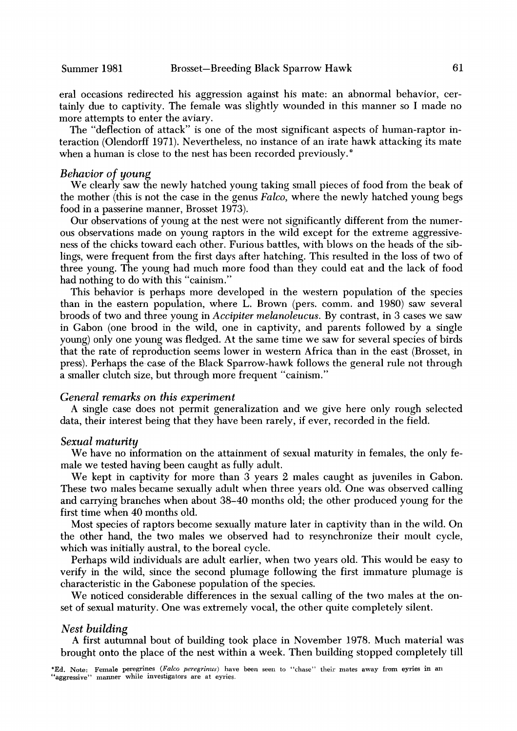**eral occasions redirected his aggression against his mate: an abnormal behavior, certainly due to captivity. The female was slightly wounded in this manner so I made no more attempts to enter the aviary.** 

**The "deflection of attack" is one of the most significant aspects of human-raptor interaction (Olendorff 1971). Nevertheless, no instance of an irate hawk attacking its mate when a human is close to the nest has been recorded previously.\*** 

## **Behavior of young**

**We clearly saw the newly hatched young taking small pieces of food from the beak of the mother (this is not the case in the genus Falco, where the newly hatched young begs food in a passerine manner, Brosset 1973).** 

**Our observations of young at the nest were not significantly different from the numerous observations made on young raptors in the wild except for the extreme aggressiveness of the chicks toward each other. Furious battles, with blows on the heads of the siblings, were frequent from the first days after hatching. This resulted in the loss of two of three young. The young had much more food than they could eat and the lack of food had nothing to do with this "cainism."** 

**This behavior is perhaps more developed in the western population of the species than in the eastern population, where L. Brown (pers. comm. and 1980) saw several broods of two and three young in Accipiter melanoleucus. By contrast, in 3 cases we saw in Gabon (one brood in the wild, one in captivity, and parents followed by a single young) only one young was fledged. At the same time we saw for several species of birds that the rate of reproduction seems lower in western Africa than in the east (Brosset, in press). Perhaps the case of the Black Sparrow-hawk follows the general rule not through a smaller clutch size, but through more frequent "cainism."** 

### **General remarks on this experiment**

**A single case does not permit generalization and we give here only rough selected data, their interest being that they have been rarely, if ever, recorded in the field.** 

#### **Sexual maturity**

We have no information on the attainment of sexual maturity in females, the only fe**male we tested having been caught as fully adult.** 

**We kept in captivity for more than 3 years 2 males caught as juveniles in Gabon. These two males became sexually adult when three years old. One was observed calling and carrying branches when about 38-40 months old; the other produced young for the first time when 40 months old.** 

**Most species of raptors become sexually mature later in captivity than in the wild. On the other hand, the two males we observed had to resynchronize their moult cycle, which was initially austral, to the boreal cycle.** 

**Perhaps wild individuals are adult earlier, when two years old. This would be easy to verify in the wild, since the second plumage following the first immature plumage is characteristic in the Gabonese population of the species.** 

**We noticed considerable differences in the sexual calling of the two males at the onset of sexual maturity. One was extremely vocal, the other quite completely silent.** 

### **Nest building**

**A first autumnal bout of building took place in November 1978. Much material was brought onto the place of the nest within a week. Then building stopped completely till** 

**\*Ed. Note: Female peregrines (Falco peregrinus) have been seen to "chase" their mates away from eyries in "aggressive" manner while investigators are at eyries.**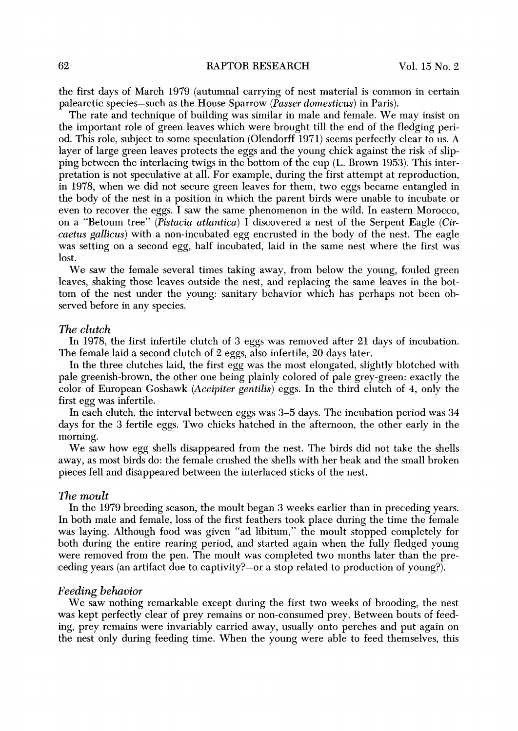**the first days of March 1979 (autumnal carrying of nest material is common in certain palearctic species-such as the House Sparrow (Passer domesticus) inParis).** 

**The rate and technique of building was similar in male and female. We may insist on the important role of green leaves which were brought till the end of the fledging peri**od. This role, subject to some speculation (Olendorff 1971) seems perfectly clear to us. A layer of large green leaves protects the eggs and the young chick against the risk of slip**ping between the interlacing twigs in the bottom of the cup (L. Brown 1953). This interpretation is not speculative at all. For example, during the first attempt at reproduction, in 1978, when we did not secure green leaves for them, two eggs became entangled in the body of the nest in a position in which the parent birds were unable to incubate or even to recover the eggs. Isaw the same phenomenon in the wild. In eastern Morocco, on a "Betoum tree" (Pistacia atlantica) I discovered anest of the Serpent Eagle (Circactus gallicus) with a non-incubated egg encrusted in the body of the nest. The eagle was setting on a second egg, half incubated, laid in the same nest where the first was lost.** 

**We saw the female several times taking away, from below the young, fouled green leaves, shaking those leaves outside the nest, and replacing the same leaves in the bottom of the nest under the young: sanitary behavior which has perhaps not been observed before in any species.** 

#### **The clutch**

**In 1978, the first infertile clutch of 3 eggs was removed after 21 days of incubation. The female laid a second clutch of 2 eggs, also infertile, 20 days later.** 

**In the three clutches laid, the first egg was the most elongated, slightly blotched with pale greenish-brown, the other one being plainly colored of pale grey-green: exactly the color of European Goshawk (Accipiter gentilis) eggs. In the third clutch of 4, only the first egg was infertile.** 

**In each clutch, the interval between eggs was 3-5 days. The incubation period was 34**  days for the 3 fertile eggs. Two chicks hatched in the afternoon, the other early in the **morning.** 

**We saw how egg shells disappeared from the nest. The birds did not take the shells away, as most birds do: the female crushed the shells with her beak and the small broken pieces fell and disappeared between the interlaced sticks of the nest.** 

## **The moult**

**In the 1979 breeding season, the moult began 3 weeks earlier than in preceding years. In both male and female, loss of the first feathers took place during the time the female was laying. Although food was given "ad libitum," the moult stopped completely for both during the entire rearing period, and started again when the fully fledged young were removed from the pen. The moult was completed two months later than the preceding years (an artifact due to captivity?-or a stop related to production of young?).** 

#### **Feeding behavior**

**We saw nothing remarkable except during the first two weeks of brooding, the nest was kept perfectly clear of prey remains or non-consumed prey. Between bouts of feeding, prey remains were invariably carried away, usually onto perches and put again on the nest only during feeding time. When the young were able to feed themselves, this**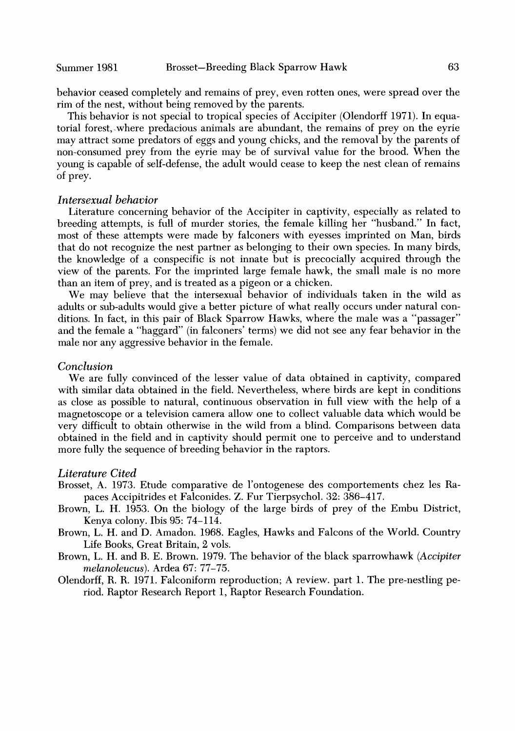**behavior ceased completely and remains of prey, even rotten ones, were spread over the rim of the nest, without being removed by the parents.** 

**This behavior is not special to tropical species of Accipiter (Olendorff 1971). In equatorial forest, .where predacious animals are abundant, the remains of prey on the eyrie may attract some predators of eggs and young chicks, and the removal by the parents of non-consumed prey from the eyrie may be of survival value for the brood. When the young is capable of self-defense, the adult would cease to keep the nest clean of remains of prey.** 

## **Intersexual behavior**

**Literature concerning behavior of the Accipiter in captivity, especially as related to breeding attempts, is full of murder stories, the female killing her "husband." In fact, most of these attempts were made by falconers with eyesses imprinted on Man, birds that do not recognize the nest partner as belonging to their own species. In many birds, the knowledge of a conspecific is not innate but is precocially acquired through the view of the parents. For the imprinted large female hawk, the small male is no more than an item of prey, and is treated as a pigeon or a chicken.** 

We may believe that the intersexual behavior of individuals taken in the wild as **adults or sub-adults would give a better picture of what really occurs under natural conditions. In fact, in this pair of Black Sparrow Hawks, where the male was a "passager" and the female a "haggard" (in falconers' terms) we did not see any fear behavior in the male nor any aggressive behavior in the female.** 

## **Conclusion**

**We are fully convinced of the lesser value of data obtained in captivity, compared with similar data obtained in the field. Nevertheless, where birds are kept in conditions as close as possible to natural, continuous observation in fidl view with the help of a magnetoscope or a television camera allow one to collect valuable data which would be very difficult to obtain otherwise in the wild from a blind. Comparisons between data obtained in the field and in captivity should permit one to perceive and to understand more fully the sequence of breeding behavior in the raptors.** 

#### **Literature Cited**

- **Brosset, A. 1973. Etude comparative de l'ontogenese des comportements chez les Rapaces Accipitrides et Falconides. Z. Fur Tierpsychol. 32: 386-417.**
- **Brown, L. H. 1953. On the biology of the large birds of prey of the Embu District, Kenya colony. Ibis 95: 74-114.**
- **Brown, L. H. and D. Amadon. 1968. Eagles, Hawks and Falcons of the World. Country Life Books, Great Britain, 2 vols.**
- **Brown, L. H. and B. E. Brown. 1979. The behavior of the black sparrowhawk (Accipiter melanoleucus). Ardea 67: 77-75.**
- **Olendorff, R. R. 1971. Falconiform reproduction; A review. part 1. The pre-nestling period. Raptor Research Report 1, Raptor Research Foundation.**